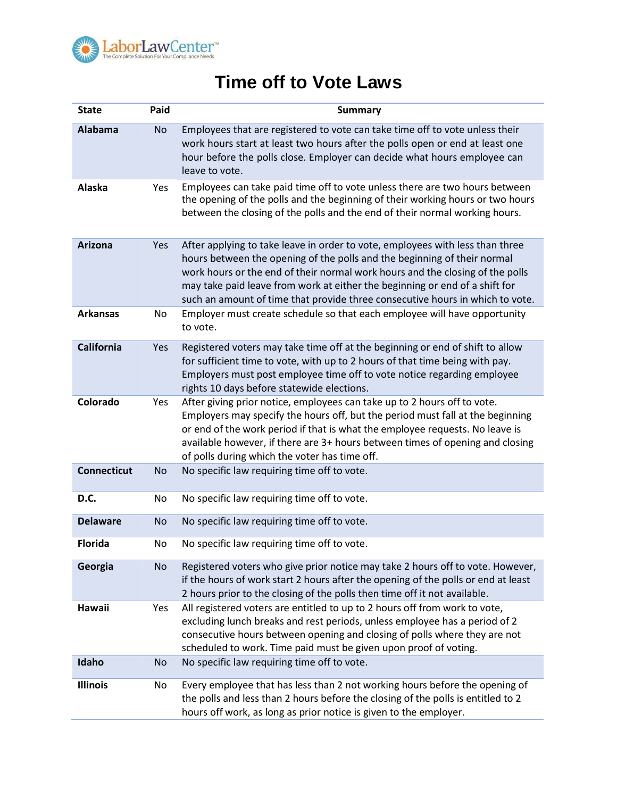

## **Time off to Vote Laws**

| <b>State</b>       | Paid      | <b>Summary</b>                                                                                                                                                                                                                                                                                                                                                                                             |
|--------------------|-----------|------------------------------------------------------------------------------------------------------------------------------------------------------------------------------------------------------------------------------------------------------------------------------------------------------------------------------------------------------------------------------------------------------------|
| <b>Alabama</b>     | <b>No</b> | Employees that are registered to vote can take time off to vote unless their<br>work hours start at least two hours after the polls open or end at least one<br>hour before the polls close. Employer can decide what hours employee can<br>leave to vote.                                                                                                                                                 |
| Alaska             | Yes       | Employees can take paid time off to vote unless there are two hours between<br>the opening of the polls and the beginning of their working hours or two hours<br>between the closing of the polls and the end of their normal working hours.                                                                                                                                                               |
| Arizona            | Yes       | After applying to take leave in order to vote, employees with less than three<br>hours between the opening of the polls and the beginning of their normal<br>work hours or the end of their normal work hours and the closing of the polls<br>may take paid leave from work at either the beginning or end of a shift for<br>such an amount of time that provide three consecutive hours in which to vote. |
| <b>Arkansas</b>    | No        | Employer must create schedule so that each employee will have opportunity<br>to vote.                                                                                                                                                                                                                                                                                                                      |
| <b>California</b>  | Yes       | Registered voters may take time off at the beginning or end of shift to allow<br>for sufficient time to vote, with up to 2 hours of that time being with pay.<br>Employers must post employee time off to vote notice regarding employee<br>rights 10 days before statewide elections.                                                                                                                     |
| Colorado           | Yes       | After giving prior notice, employees can take up to 2 hours off to vote.<br>Employers may specify the hours off, but the period must fall at the beginning<br>or end of the work period if that is what the employee requests. No leave is<br>available however, if there are 3+ hours between times of opening and closing<br>of polls during which the voter has time off.                               |
| <b>Connecticut</b> | <b>No</b> | No specific law requiring time off to vote.                                                                                                                                                                                                                                                                                                                                                                |
| D.C.               | No        | No specific law requiring time off to vote.                                                                                                                                                                                                                                                                                                                                                                |
| <b>Delaware</b>    | <b>No</b> | No specific law requiring time off to vote.                                                                                                                                                                                                                                                                                                                                                                |
| <b>Florida</b>     | No        | No specific law requiring time off to vote.                                                                                                                                                                                                                                                                                                                                                                |
| Georgia            | <b>No</b> | Registered voters who give prior notice may take 2 hours off to vote. However,<br>if the hours of work start 2 hours after the opening of the polls or end at least<br>2 hours prior to the closing of the polls then time off it not available.                                                                                                                                                           |
| Hawaii             | Yes       | All registered voters are entitled to up to 2 hours off from work to vote,<br>excluding lunch breaks and rest periods, unless employee has a period of 2<br>consecutive hours between opening and closing of polls where they are not<br>scheduled to work. Time paid must be given upon proof of voting.                                                                                                  |
| Idaho              | No        | No specific law requiring time off to vote.                                                                                                                                                                                                                                                                                                                                                                |
| <b>Illinois</b>    | No        | Every employee that has less than 2 not working hours before the opening of<br>the polls and less than 2 hours before the closing of the polls is entitled to 2<br>hours off work, as long as prior notice is given to the employer.                                                                                                                                                                       |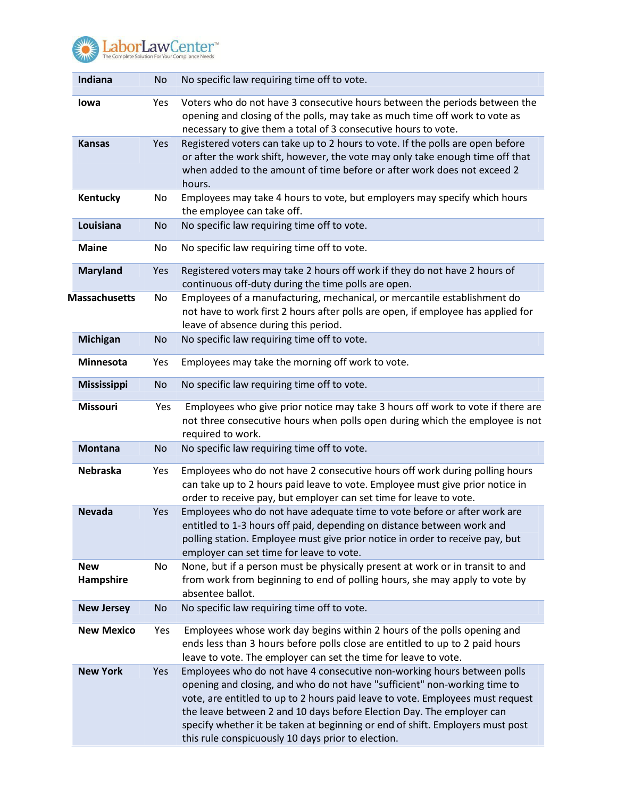

| Indiana                 | No        | No specific law requiring time off to vote.                                                                                                                                                                                                                                                                                                                                                                                                            |
|-------------------------|-----------|--------------------------------------------------------------------------------------------------------------------------------------------------------------------------------------------------------------------------------------------------------------------------------------------------------------------------------------------------------------------------------------------------------------------------------------------------------|
| lowa                    | Yes       | Voters who do not have 3 consecutive hours between the periods between the<br>opening and closing of the polls, may take as much time off work to vote as<br>necessary to give them a total of 3 consecutive hours to vote.                                                                                                                                                                                                                            |
| <b>Kansas</b>           | Yes       | Registered voters can take up to 2 hours to vote. If the polls are open before<br>or after the work shift, however, the vote may only take enough time off that<br>when added to the amount of time before or after work does not exceed 2<br>hours.                                                                                                                                                                                                   |
| Kentucky                | No        | Employees may take 4 hours to vote, but employers may specify which hours<br>the employee can take off.                                                                                                                                                                                                                                                                                                                                                |
| Louisiana               | No        | No specific law requiring time off to vote.                                                                                                                                                                                                                                                                                                                                                                                                            |
| <b>Maine</b>            | No        | No specific law requiring time off to vote.                                                                                                                                                                                                                                                                                                                                                                                                            |
| <b>Maryland</b>         | Yes       | Registered voters may take 2 hours off work if they do not have 2 hours of<br>continuous off-duty during the time polls are open.                                                                                                                                                                                                                                                                                                                      |
| <b>Massachusetts</b>    | No        | Employees of a manufacturing, mechanical, or mercantile establishment do<br>not have to work first 2 hours after polls are open, if employee has applied for<br>leave of absence during this period.                                                                                                                                                                                                                                                   |
| <b>Michigan</b>         | <b>No</b> | No specific law requiring time off to vote.                                                                                                                                                                                                                                                                                                                                                                                                            |
| <b>Minnesota</b>        | Yes       | Employees may take the morning off work to vote.                                                                                                                                                                                                                                                                                                                                                                                                       |
| Mississippi             | No        | No specific law requiring time off to vote.                                                                                                                                                                                                                                                                                                                                                                                                            |
| Missouri                | Yes       | Employees who give prior notice may take 3 hours off work to vote if there are<br>not three consecutive hours when polls open during which the employee is not<br>required to work.                                                                                                                                                                                                                                                                    |
| <b>Montana</b>          | <b>No</b> | No specific law requiring time off to vote.                                                                                                                                                                                                                                                                                                                                                                                                            |
| <b>Nebraska</b>         | Yes       | Employees who do not have 2 consecutive hours off work during polling hours<br>can take up to 2 hours paid leave to vote. Employee must give prior notice in<br>order to receive pay, but employer can set time for leave to vote.                                                                                                                                                                                                                     |
| <b>Nevada</b>           | Yes       | Employees who do not have adequate time to vote before or after work are<br>entitled to 1-3 hours off paid, depending on distance between work and<br>polling station. Employee must give prior notice in order to receive pay, but<br>employer can set time for leave to vote.                                                                                                                                                                        |
| <b>New</b><br>Hampshire | No        | None, but if a person must be physically present at work or in transit to and<br>from work from beginning to end of polling hours, she may apply to vote by<br>absentee ballot.                                                                                                                                                                                                                                                                        |
| <b>New Jersey</b>       | No        | No specific law requiring time off to vote.                                                                                                                                                                                                                                                                                                                                                                                                            |
| <b>New Mexico</b>       | Yes       | Employees whose work day begins within 2 hours of the polls opening and<br>ends less than 3 hours before polls close are entitled to up to 2 paid hours<br>leave to vote. The employer can set the time for leave to vote.                                                                                                                                                                                                                             |
| <b>New York</b>         | Yes       | Employees who do not have 4 consecutive non-working hours between polls<br>opening and closing, and who do not have "sufficient" non-working time to<br>vote, are entitled to up to 2 hours paid leave to vote. Employees must request<br>the leave between 2 and 10 days before Election Day. The employer can<br>specify whether it be taken at beginning or end of shift. Employers must post<br>this rule conspicuously 10 days prior to election. |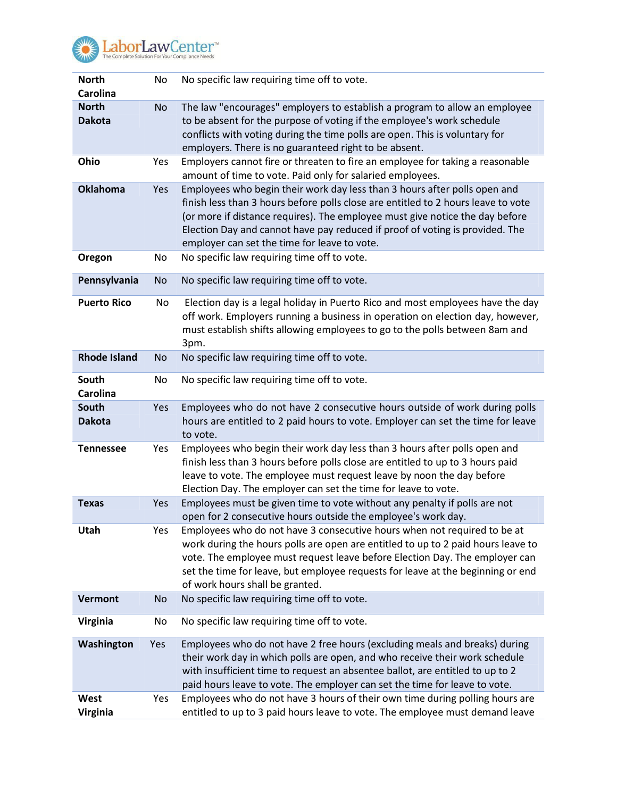

**ElaborLawCenter**<sup>The</sup> Complete Solution For Your Compliance Needs

| <b>North</b><br><b>Carolina</b> | No        | No specific law requiring time off to vote.                                                                                                                                                                                                                                                                                                                                    |
|---------------------------------|-----------|--------------------------------------------------------------------------------------------------------------------------------------------------------------------------------------------------------------------------------------------------------------------------------------------------------------------------------------------------------------------------------|
| <b>North</b><br><b>Dakota</b>   | <b>No</b> | The law "encourages" employers to establish a program to allow an employee<br>to be absent for the purpose of voting if the employee's work schedule<br>conflicts with voting during the time polls are open. This is voluntary for<br>employers. There is no guaranteed right to be absent.                                                                                   |
| Ohio                            | Yes       | Employers cannot fire or threaten to fire an employee for taking a reasonable<br>amount of time to vote. Paid only for salaried employees.                                                                                                                                                                                                                                     |
| <b>Oklahoma</b>                 | Yes       | Employees who begin their work day less than 3 hours after polls open and<br>finish less than 3 hours before polls close are entitled to 2 hours leave to vote<br>(or more if distance requires). The employee must give notice the day before<br>Election Day and cannot have pay reduced if proof of voting is provided. The<br>employer can set the time for leave to vote. |
| Oregon                          | No        | No specific law requiring time off to vote.                                                                                                                                                                                                                                                                                                                                    |
| Pennsylvania                    | <b>No</b> | No specific law requiring time off to vote.                                                                                                                                                                                                                                                                                                                                    |
| <b>Puerto Rico</b>              | No        | Election day is a legal holiday in Puerto Rico and most employees have the day<br>off work. Employers running a business in operation on election day, however,<br>must establish shifts allowing employees to go to the polls between 8am and<br>3pm.                                                                                                                         |
| <b>Rhode Island</b>             | No        | No specific law requiring time off to vote.                                                                                                                                                                                                                                                                                                                                    |
| South<br>Carolina               | No        | No specific law requiring time off to vote.                                                                                                                                                                                                                                                                                                                                    |
| South<br><b>Dakota</b>          | Yes       | Employees who do not have 2 consecutive hours outside of work during polls<br>hours are entitled to 2 paid hours to vote. Employer can set the time for leave<br>to vote.                                                                                                                                                                                                      |
| <b>Tennessee</b>                | Yes       | Employees who begin their work day less than 3 hours after polls open and<br>finish less than 3 hours before polls close are entitled to up to 3 hours paid<br>leave to vote. The employee must request leave by noon the day before<br>Election Day. The employer can set the time for leave to vote.                                                                         |
| <b>Texas</b>                    | Yes       | Employees must be given time to vote without any penalty if polls are not<br>open for 2 consecutive hours outside the employee's work day.                                                                                                                                                                                                                                     |
| Utah                            | Yes       | Employees who do not have 3 consecutive hours when not required to be at<br>work during the hours polls are open are entitled to up to 2 paid hours leave to<br>vote. The employee must request leave before Election Day. The employer can<br>set the time for leave, but employee requests for leave at the beginning or end<br>of work hours shall be granted.              |
| <b>Vermont</b>                  | No        | No specific law requiring time off to vote.                                                                                                                                                                                                                                                                                                                                    |
| Virginia                        | No        | No specific law requiring time off to vote.                                                                                                                                                                                                                                                                                                                                    |
| Washington                      | Yes       | Employees who do not have 2 free hours (excluding meals and breaks) during<br>their work day in which polls are open, and who receive their work schedule<br>with insufficient time to request an absentee ballot, are entitled to up to 2<br>paid hours leave to vote. The employer can set the time for leave to vote.                                                       |
| West<br><b>Virginia</b>         | Yes       | Employees who do not have 3 hours of their own time during polling hours are<br>entitled to up to 3 paid hours leave to vote. The employee must demand leave                                                                                                                                                                                                                   |